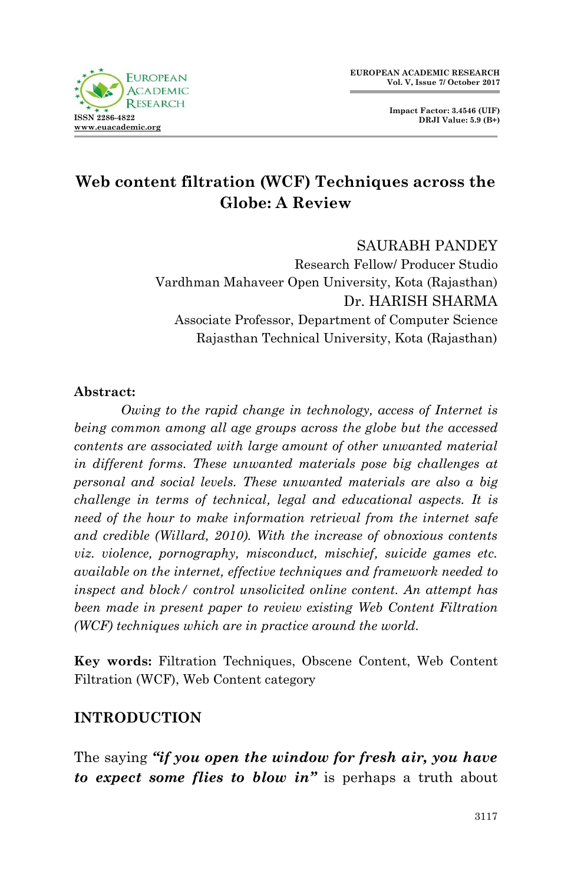

**Impact Factor: 3.4546 (UIF) DRJI Value: 5.9 (B+)**

# **Web content filtration (WCF) Techniques across the Globe: A Review**

#### SAURABH PANDEY

Research Fellow/ Producer Studio Vardhman Mahaveer Open University, Kota (Rajasthan) Dr. HARISH SHARMA Associate Professor, Department of Computer Science Rajasthan Technical University, Kota (Rajasthan)

#### **Abstract:**

*Owing to the rapid change in technology, access of Internet is being common among all age groups across the globe but the accessed contents are associated with large amount of other unwanted material in different forms. These unwanted materials pose big challenges at personal and social levels. These unwanted materials are also a big challenge in terms of technical, legal and educational aspects. It is need of the hour to make information retrieval from the internet safe and credible (Willard, 2010). With the increase of obnoxious contents viz. violence, pornography, misconduct, mischief, suicide games etc. available on the internet, effective techniques and framework needed to inspect and block/ control unsolicited online content. An attempt has been made in present paper to review existing Web Content Filtration (WCF) techniques which are in practice around the world.*

**Key words:** Filtration Techniques, Obscene Content, Web Content Filtration (WCF), Web Content category

### **INTRODUCTION**

The saying *"if you open the window for fresh air, you have to expect some flies to blow in"* is perhaps a truth about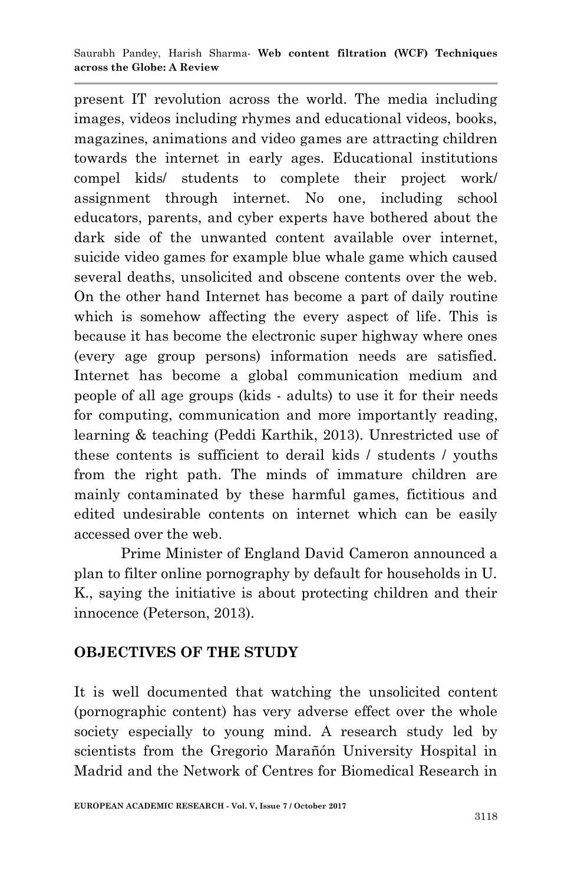present IT revolution across the world. The media including images, videos including rhymes and educational videos, books, magazines, animations and video games are attracting children towards the internet in early ages. Educational institutions compel kids/ students to complete their project work/ assignment through internet. No one, including school educators, parents, and cyber experts have bothered about the dark side of the unwanted content available over internet, suicide video games for example blue whale game which caused several deaths, unsolicited and obscene contents over the web. On the other hand Internet has become a part of daily routine which is somehow affecting the every aspect of life. This is because it has become the electronic super highway where ones (every age group persons) information needs are satisfied. Internet has become a global communication medium and people of all age groups (kids - adults) to use it for their needs for computing, communication and more importantly reading, learning & teaching (Peddi Karthik, 2013). Unrestricted use of these contents is sufficient to derail kids / students / youths from the right path. The minds of immature children are mainly contaminated by these harmful games, fictitious and edited undesirable contents on internet which can be easily accessed over the web.

Prime Minister of England David Cameron announced a plan to filter online pornography by default for households in U. K., saying the initiative is about protecting children and their innocence (Peterson, 2013).

# **OBJECTIVES OF THE STUDY**

It is well documented that watching the unsolicited content (pornographic content) has very adverse effect over the whole society especially to young mind. A research study led by scientists from the Gregorio Marañón University Hospital in Madrid and the Network of Centres for Biomedical Research in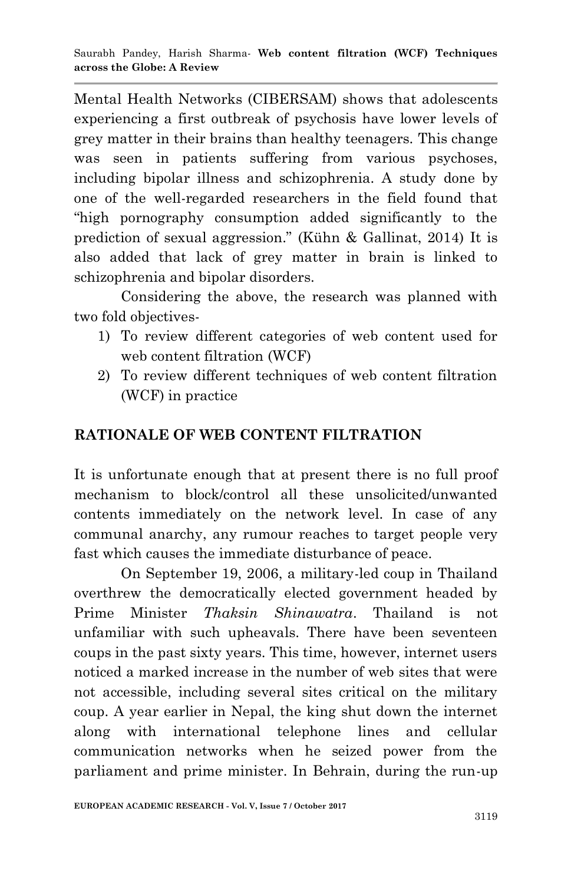Mental Health Networks (CIBERSAM) shows that adolescents experiencing a first outbreak of psychosis have lower levels of grey matter in their brains than healthy teenagers. This change was seen in patients suffering from various psychoses, including bipolar illness and schizophrenia. A study done by one of the well-regarded researchers in the field found that "high pornography consumption added significantly to the prediction of sexual aggression." (Kühn & Gallinat, 2014) It is also added that lack of grey matter in brain is linked to schizophrenia and bipolar disorders.

Considering the above, the research was planned with two fold objectives-

- 1) To review different categories of web content used for web content filtration (WCF)
- 2) To review different techniques of web content filtration (WCF) in practice

# **RATIONALE OF WEB CONTENT FILTRATION**

It is unfortunate enough that at present there is no full proof mechanism to block/control all these unsolicited/unwanted contents immediately on the network level. In case of any communal anarchy, any rumour reaches to target people very fast which causes the immediate disturbance of peace.

On September 19, 2006, a military-led coup in Thailand overthrew the democratically elected government headed by Prime Minister *Thaksin Shinawatra*. Thailand is not unfamiliar with such upheavals. There have been seventeen coups in the past sixty years. This time, however, internet users noticed a marked increase in the number of web sites that were not accessible, including several sites critical on the military coup. A year earlier in Nepal, the king shut down the internet along with international telephone lines and cellular communication networks when he seized power from the parliament and prime minister. In Behrain, during the run-up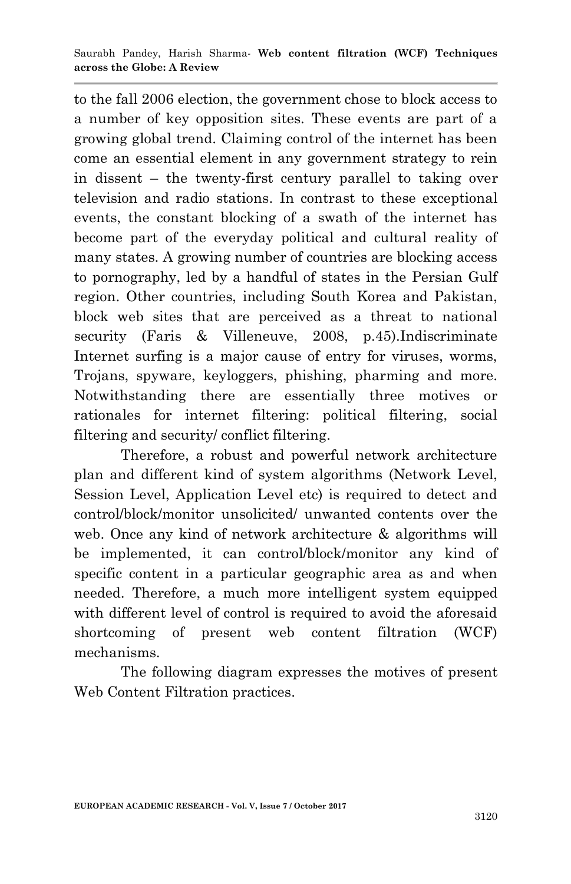to the fall 2006 election, the government chose to block access to a number of key opposition sites. These events are part of a growing global trend. Claiming control of the internet has been come an essential element in any government strategy to rein in dissent – the twenty-first century parallel to taking over television and radio stations. In contrast to these exceptional events, the constant blocking of a swath of the internet has become part of the everyday political and cultural reality of many states. A growing number of countries are blocking access to pornography, led by a handful of states in the Persian Gulf region. Other countries, including South Korea and Pakistan, block web sites that are perceived as a threat to national security (Faris & Villeneuve, 2008, p.45).Indiscriminate Internet surfing is a major cause of entry for viruses, worms, Trojans, spyware, keyloggers, phishing, pharming and more. Notwithstanding there are essentially three motives or rationales for internet filtering: political filtering, social filtering and security/ conflict filtering.

Therefore, a robust and powerful network architecture plan and different kind of system algorithms (Network Level, Session Level, Application Level etc) is required to detect and control/block/monitor unsolicited/ unwanted contents over the web. Once any kind of network architecture & algorithms will be implemented, it can control/block/monitor any kind of specific content in a particular geographic area as and when needed. Therefore, a much more intelligent system equipped with different level of control is required to avoid the aforesaid shortcoming of present web content filtration (WCF) mechanisms.

The following diagram expresses the motives of present Web Content Filtration practices.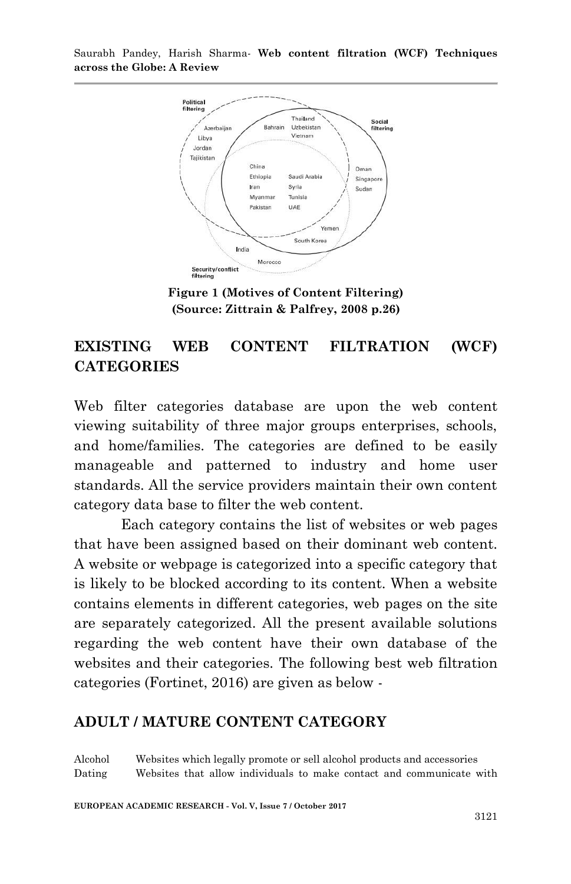

**Figure 1 (Motives of Content Filtering) (Source: Zittrain & Palfrey, 2008 p.26)**

### **EXISTING WEB CONTENT FILTRATION (WCF) CATEGORIES**

Web filter categories database are upon the web content viewing suitability of three major groups enterprises, schools, and home/families. The categories are defined to be easily manageable and patterned to industry and home user standards. All the service providers maintain their own content category data base to filter the web content.

Each category contains the list of websites or web pages that have been assigned based on their dominant web content. A website or webpage is categorized into a specific category that is likely to be blocked according to its content. When a website contains elements in different categories, web pages on the site are separately categorized. All the present available solutions regarding the web content have their own database of the websites and their categories. The following best web filtration categories (Fortinet, 2016) are given as below -

#### **ADULT / MATURE CONTENT CATEGORY**

Alcohol Websites which legally promote or sell alcohol products and accessories Dating Websites that allow individuals to make contact and communicate with

**EUROPEAN ACADEMIC RESEARCH - Vol. V, Issue 7 / October 2017**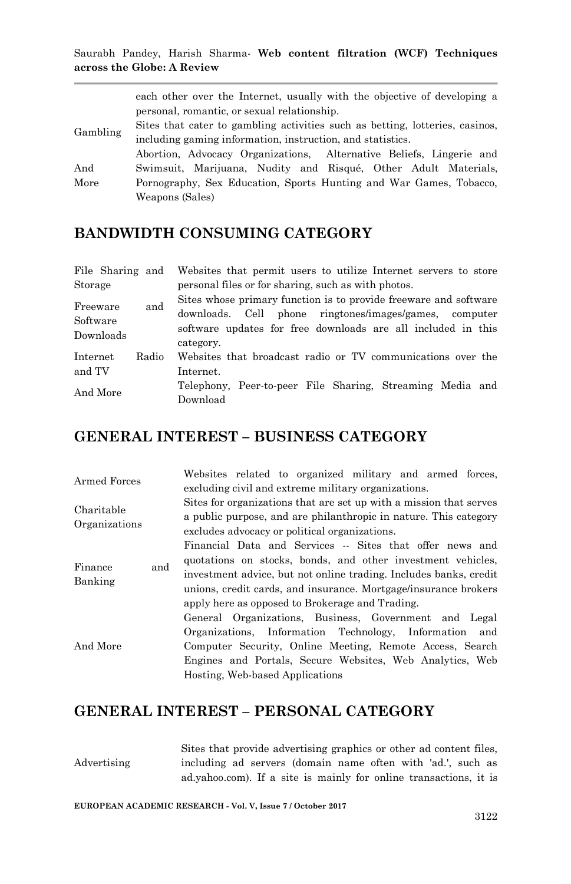|          | each other over the Internet, usually with the objective of developing a     |
|----------|------------------------------------------------------------------------------|
| Gambling | personal, romantic, or sexual relationship.                                  |
|          | Sites that cater to gambling activities such as betting, lotteries, casinos, |
|          | including gaming information, instruction, and statistics.                   |
|          | Abortion, Advocacy Organizations, Alternative Beliefs, Lingerie and          |
| And      | Swimsuit, Marijuana, Nudity and Risqué, Other Adult Materials,               |
| More     | Pornography, Sex Education, Sports Hunting and War Games, Tobacco,           |
|          | Weapons (Sales)                                                              |

### **BANDWIDTH CONSUMING CATEGORY**

| File Sharing and |       | Websites that permit users to utilize Internet servers to store  |
|------------------|-------|------------------------------------------------------------------|
| Storage          |       | personal files or for sharing, such as with photos.              |
| Freeware         | and   | Sites whose primary function is to provide freeware and software |
|                  |       | downloads. Cell phone ringtones/images/games, computer           |
| Software         |       | software updates for free downloads are all included in this     |
| Downloads        |       | category.                                                        |
| Internet         | Radio | Websites that broadcast radio or TV communications over the      |
| and TV           |       | Internet.                                                        |
| And More         |       | Telephony, Peer-to-peer File Sharing, Streaming Media and        |
|                  |       | Download                                                         |

### **GENERAL INTEREST – BUSINESS CATEGORY**

| Armed Forces                |     |                                 | Websites related to organized military and armed forces,<br>excluding civil and extreme military organizations.                                                                                                                                                                                                    |  |  |
|-----------------------------|-----|---------------------------------|--------------------------------------------------------------------------------------------------------------------------------------------------------------------------------------------------------------------------------------------------------------------------------------------------------------------|--|--|
| Charitable<br>Organizations |     |                                 | Sites for organizations that are set up with a mission that serves<br>a public purpose, and are philanthropic in nature. This category<br>excludes advocacy or political organizations.                                                                                                                            |  |  |
| Finance<br>Banking          | and |                                 | Financial Data and Services -- Sites that offer news and<br>quotations on stocks, bonds, and other investment vehicles,<br>investment advice, but not online trading. Includes banks, credit<br>unions, credit cards, and insurance. Mortgage/insurance brokers<br>apply here as opposed to Brokerage and Trading. |  |  |
| And More                    |     | Hosting, Web-based Applications | General Organizations, Business, Government and Legal<br>Organizations, Information Technology, Information and<br>Computer Security, Online Meeting, Remote Access, Search<br>Engines and Portals, Secure Websites, Web Analytics, Web                                                                            |  |  |

# **GENERAL INTEREST – PERSONAL CATEGORY**

Advertising Sites that provide advertising graphics or other ad content files, including ad servers (domain name often with 'ad.', such as ad.yahoo.com). If a site is mainly for online transactions, it is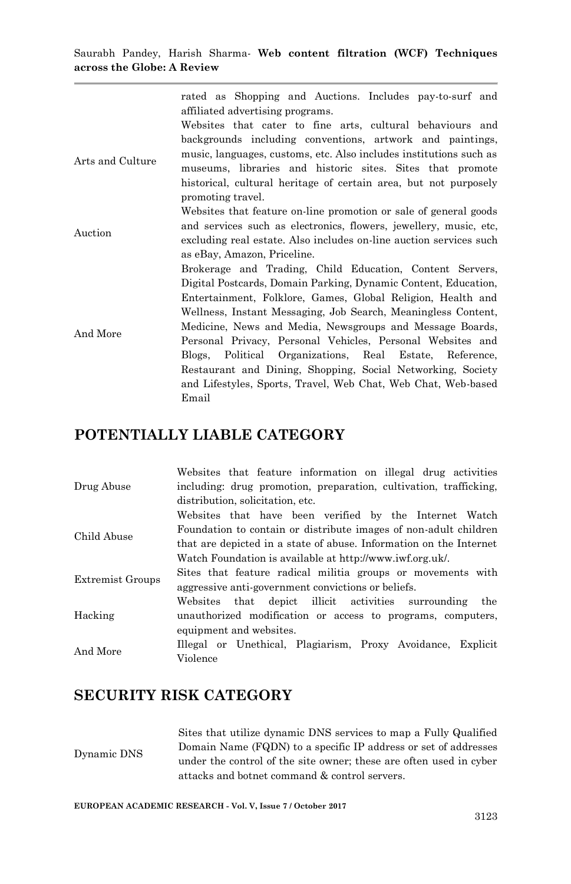rated as Shopping and Auctions. Includes pay-to-surf and affiliated advertising programs.

Arts and Culture Websites that cater to fine arts, cultural behaviours and backgrounds including conventions, artwork and paintings, music, languages, customs, etc. Also includes institutions such as museums, libraries and historic sites. Sites that promote historical, cultural heritage of certain area, but not purposely promoting travel.

- Auction Websites that feature on-line promotion or sale of general goods and services such as electronics, flowers, jewellery, music, etc, excluding real estate. Also includes on-line auction services such as eBay, Amazon, Priceline.
- And More Brokerage and Trading, Child Education, Content Servers, Digital Postcards, Domain Parking, Dynamic Content, Education, Entertainment, Folklore, Games, Global Religion, Health and Wellness, Instant Messaging, Job Search, Meaningless Content, Medicine, News and Media, Newsgroups and Message Boards, Personal Privacy, Personal Vehicles, Personal Websites and Blogs, Political Organizations, Real Estate, Reference, Restaurant and Dining, Shopping, Social Networking, Society and Lifestyles, Sports, Travel, Web Chat, Web Chat, Web-based Email

#### **POTENTIALLY LIABLE CATEGORY**

| Drug Abuse       | Websites that feature information on illegal drug activities       |
|------------------|--------------------------------------------------------------------|
|                  | including: drug promotion, preparation, cultivation, trafficking,  |
|                  | distribution, solicitation, etc.                                   |
|                  | Websites that have been verified by the Internet Watch             |
| Child Abuse      | Foundation to contain or distribute images of non-adult children   |
|                  | that are depicted in a state of abuse. Information on the Internet |
|                  | Watch Foundation is available at http://www.iwf.org.uk/.           |
|                  | Sites that feature radical militia groups or movements with        |
| Extremist Groups | aggressive anti-government convictions or beliefs.                 |
|                  | Websites that depict illicit activities surrounding<br>the         |
| Hacking          | unauthorized modification or access to programs, computers,        |
|                  | equipment and websites.                                            |
|                  | Illegal or Unethical, Plagiarism, Proxy Avoidance, Explicit        |
| And More         | Violence                                                           |

### **SECURITY RISK CATEGORY**

Dynamic DNS Sites that utilize dynamic DNS services to map a Fully Qualified Domain Name (FQDN) to a specific IP address or set of addresses under the control of the site owner; these are often used in cyber attacks and botnet command & control servers.

**EUROPEAN ACADEMIC RESEARCH - Vol. V, Issue 7 / October 2017**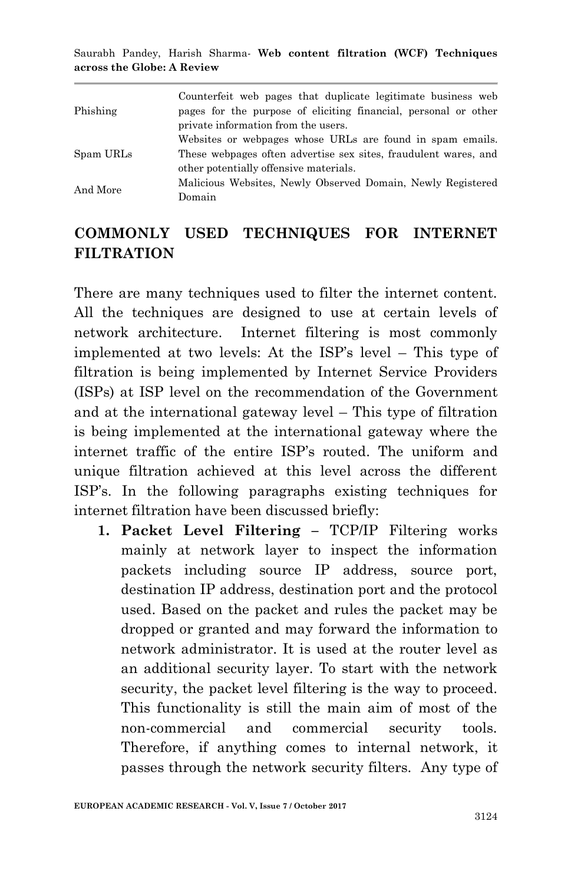| Phishing  | Counterfeit web pages that duplicate legitimate business web<br>pages for the purpose of eliciting financial, personal or other<br>private information from the users. |
|-----------|------------------------------------------------------------------------------------------------------------------------------------------------------------------------|
| Spam URLs | Websites or webpages whose URLs are found in spam emails.<br>These webpages often advertise sex sites, fraudulent wares, and<br>other potentially offensive materials. |
| And More  | Malicious Websites, Newly Observed Domain, Newly Registered<br>Domain                                                                                                  |

### **COMMONLY USED TECHNIQUES FOR INTERNET FILTRATION**

There are many techniques used to filter the internet content. All the techniques are designed to use at certain levels of network architecture. Internet filtering is most commonly implemented at two levels: At the ISP's level – This type of filtration is being implemented by Internet Service Providers (ISPs) at ISP level on the recommendation of the Government and at the international gateway level – This type of filtration is being implemented at the international gateway where the internet traffic of the entire ISP's routed. The uniform and unique filtration achieved at this level across the different ISP's. In the following paragraphs existing techniques for internet filtration have been discussed briefly:

**1. Packet Level Filtering –** TCP/IP Filtering works mainly at network layer to inspect the information packets including source IP address, source port, destination IP address, destination port and the protocol used. Based on the packet and rules the packet may be dropped or granted and may forward the information to network administrator. It is used at the router level as an additional security layer. To start with the network security, the packet level filtering is the way to proceed. This functionality is still the main aim of most of the non-commercial and commercial security tools. Therefore, if anything comes to internal network, it passes through the network security filters. Any type of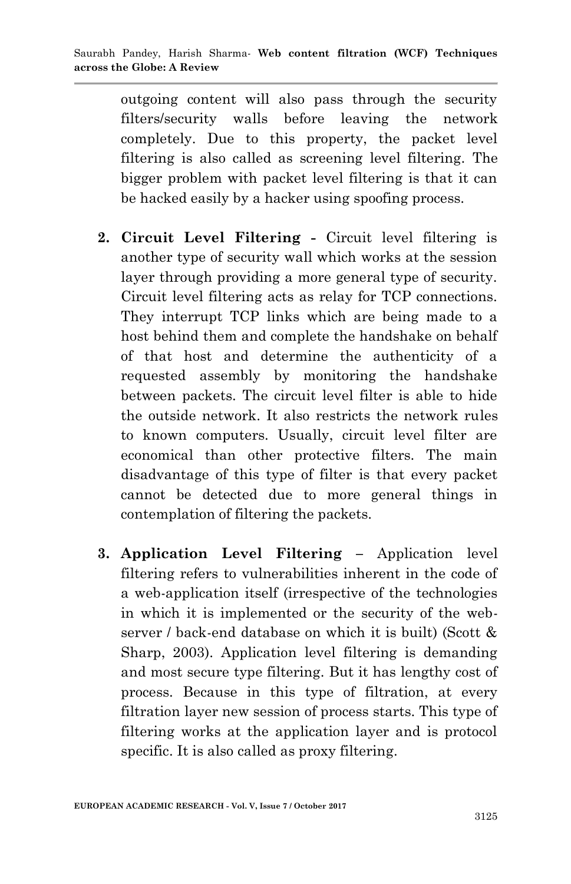outgoing content will also pass through the security filters/security walls before leaving the network completely. Due to this property, the packet level filtering is also called as screening level filtering. The bigger problem with packet level filtering is that it can be hacked easily by a hacker using spoofing process.

- **2. Circuit Level Filtering -** Circuit level filtering is another type of security wall which works at the session layer through providing a more general type of security. Circuit level filtering acts as relay for TCP connections. They interrupt TCP links which are being made to a host behind them and complete the handshake on behalf of that host and determine the authenticity of a requested assembly by monitoring the handshake between packets. The circuit level filter is able to hide the outside network. It also restricts the network rules to known computers. Usually, circuit level filter are economical than other protective filters. The main disadvantage of this type of filter is that every packet cannot be detected due to more general things in contemplation of filtering the packets.
- **3. Application Level Filtering –** Application level filtering refers to vulnerabilities inherent in the code of a web-application itself (irrespective of the technologies in which it is implemented or the security of the webserver / back-end database on which it is built) (Scott & Sharp, 2003). Application level filtering is demanding and most secure type filtering. But it has lengthy cost of process. Because in this type of filtration, at every filtration layer new session of process starts. This type of filtering works at the application layer and is protocol specific. It is also called as proxy filtering.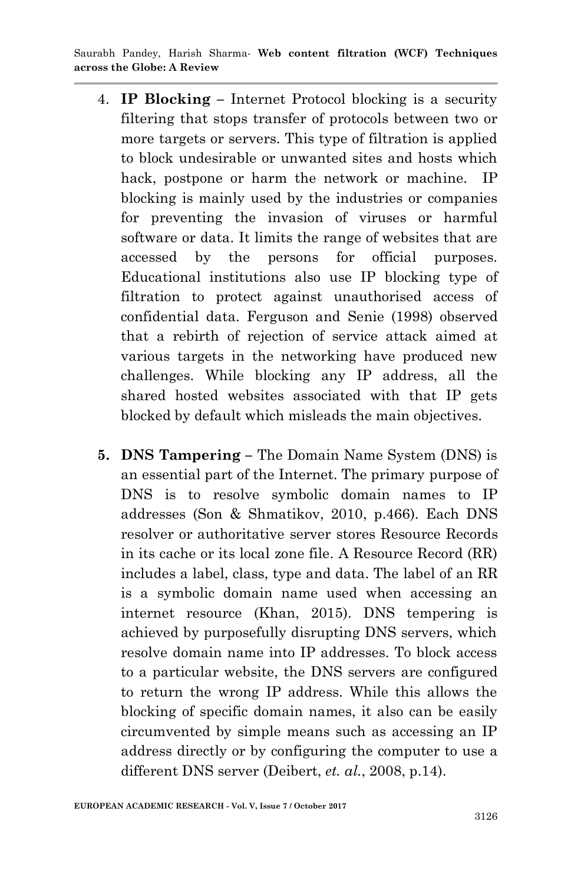- 4. **IP Blocking –** Internet Protocol blocking is a security filtering that stops transfer of protocols between two or more targets or servers. This type of filtration is applied to block undesirable or unwanted sites and hosts which hack, postpone or harm the network or machine. IP blocking is mainly used by the industries or companies for preventing the invasion of viruses or harmful software or data. It limits the range of websites that are accessed by the persons for official purposes. Educational institutions also use IP blocking type of filtration to protect against unauthorised access of confidential data. Ferguson and Senie (1998) observed that a rebirth of rejection of service attack aimed at various targets in the networking have produced new challenges. While blocking any IP address, all the shared hosted websites associated with that IP gets blocked by default which misleads the main objectives.
- **5. DNS Tampering –** The Domain Name System (DNS) is an essential part of the Internet. The primary purpose of DNS is to resolve symbolic domain names to IP addresses (Son & Shmatikov, 2010, p.466). Each DNS resolver or authoritative server stores Resource Records in its cache or its local zone file. A Resource Record (RR) includes a label, class, type and data. The label of an RR is a symbolic domain name used when accessing an internet resource (Khan, 2015). DNS tempering is achieved by purposefully disrupting DNS servers, which resolve domain name into IP addresses. To block access to a particular website, the DNS servers are configured to return the wrong IP address. While this allows the blocking of specific domain names, it also can be easily circumvented by simple means such as accessing an IP address directly or by configuring the computer to use a different DNS server (Deibert, *et. al.*, 2008, p.14).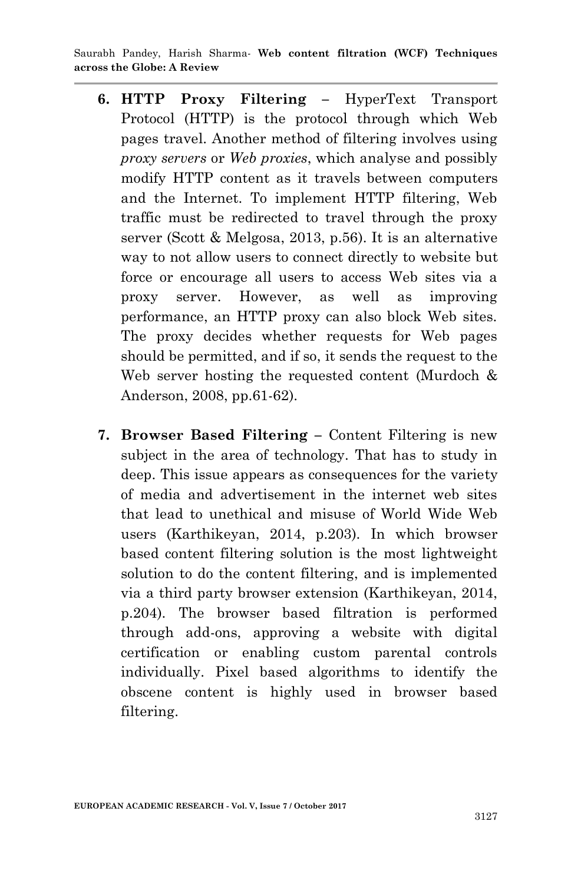- **6. HTTP Proxy Filtering –** HyperText Transport Protocol (HTTP) is the protocol through which Web pages travel. Another method of filtering involves using *proxy servers* or *Web proxies*, which analyse and possibly modify HTTP content as it travels between computers and the Internet. To implement HTTP filtering, Web traffic must be redirected to travel through the proxy server (Scott & Melgosa, 2013, p.56). It is an alternative way to not allow users to connect directly to website but force or encourage all users to access Web sites via a proxy server. However, as well as improving performance, an HTTP proxy can also block Web sites. The proxy decides whether requests for Web pages should be permitted, and if so, it sends the request to the Web server hosting the requested content (Murdoch & Anderson, 2008, pp.61-62).
- **7. Browser Based Filtering –** Content Filtering is new subject in the area of technology. That has to study in deep. This issue appears as consequences for the variety of media and advertisement in the internet web sites that lead to unethical and misuse of World Wide Web users (Karthikeyan, 2014, p.203). In which browser based content filtering solution is the most lightweight solution to do the content filtering, and is implemented via a third party browser extension (Karthikeyan, 2014, p.204). The browser based filtration is performed through add-ons, approving a website with digital certification or enabling custom parental controls individually. Pixel based algorithms to identify the obscene content is highly used in browser based filtering.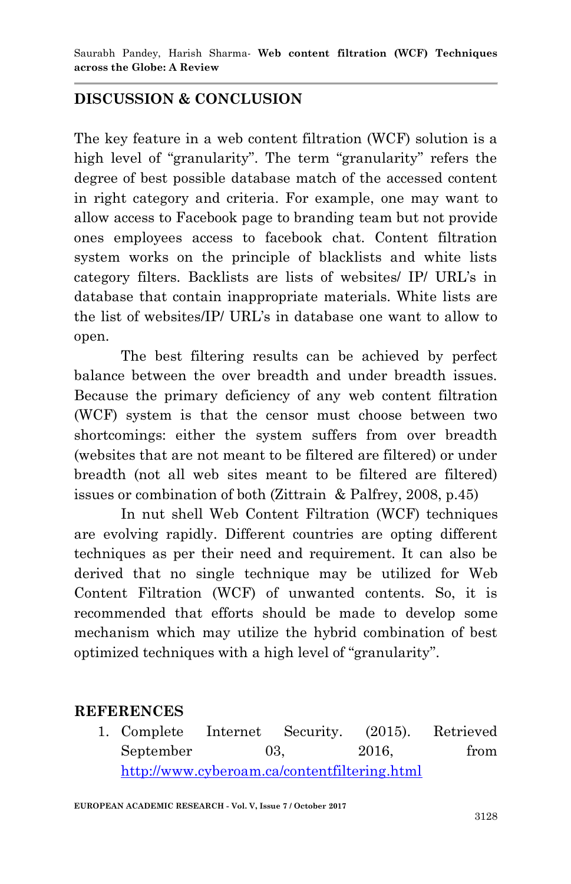# **DISCUSSION & CONCLUSION**

The key feature in a web content filtration (WCF) solution is a high level of "granularity". The term "granularity" refers the degree of best possible database match of the accessed content in right category and criteria. For example, one may want to allow access to Facebook page to branding team but not provide ones employees access to facebook chat. Content filtration system works on the principle of blacklists and white lists category filters. Backlists are lists of websites/ IP/ URL's in database that contain inappropriate materials. White lists are the list of websites/IP/ URL's in database one want to allow to open.

The best filtering results can be achieved by perfect balance between the over breadth and under breadth issues. Because the primary deficiency of any web content filtration (WCF) system is that the censor must choose between two shortcomings: either the system suffers from over breadth (websites that are not meant to be filtered are filtered) or under breadth (not all web sites meant to be filtered are filtered) issues or combination of both (Zittrain & Palfrey, 2008, p.45)

In nut shell Web Content Filtration (WCF) techniques are evolving rapidly. Different countries are opting different techniques as per their need and requirement. It can also be derived that no single technique may be utilized for Web Content Filtration (WCF) of unwanted contents. So, it is recommended that efforts should be made to develop some mechanism which may utilize the hybrid combination of best optimized techniques with a high level of "granularity".

### **REFERENCES**

1. Complete Internet Security. (2015). Retrieved September 03, 2016, from <http://www.cyberoam.ca/contentfiltering.html>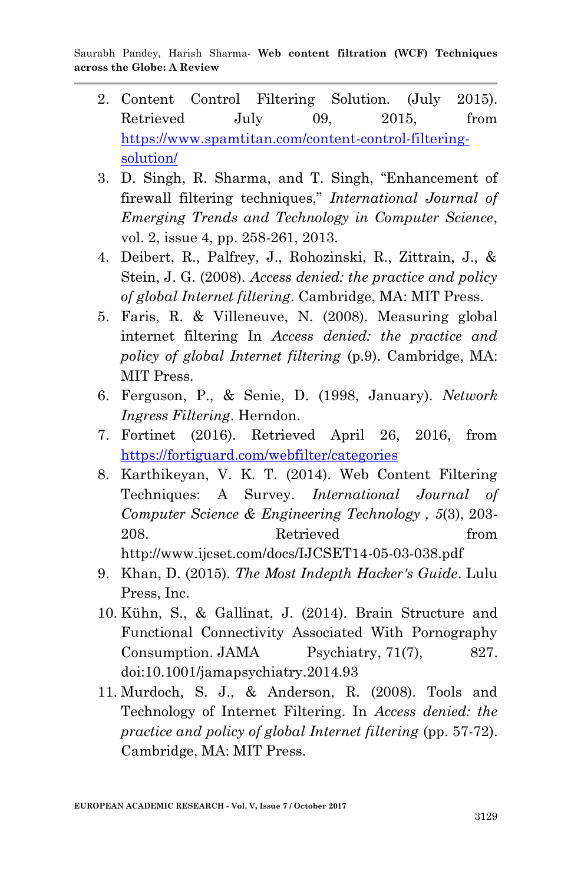- 2. Content Control Filtering Solution. (July 2015). Retrieved July 09, 2015, from [https://www.spamtitan.com/content-control-filtering](https://www.spamtitan.com/content-control-filtering-solution/)[solution/](https://www.spamtitan.com/content-control-filtering-solution/)
- 3. D. Singh, R. Sharma, and T. Singh, "Enhancement of firewall filtering techniques," *International Journal of Emerging Trends and Technology in Computer Science*, vol. 2, issue 4, pp. 258-261, 2013.
- 4. Deibert, R., Palfrey, J., Rohozinski, R., Zittrain, J., & Stein, J. G. (2008). *Access denied: the practice and policy of global Internet filtering*. Cambridge, MA: MIT Press.
- 5. Faris, R. & Villeneuve, N. (2008). Measuring global internet filtering In *Access denied: the practice and policy of global Internet filtering* (p.9). Cambridge, MA: MIT Press.
- 6. Ferguson, P., & Senie, D. (1998, January). *Network Ingress Filtering*. Herndon.
- 7. Fortinet (2016). Retrieved April 26, 2016, from <https://fortiguard.com/webfilter/categories>
- 8. Karthikeyan, V. K. T. (2014). Web Content Filtering Techniques: A Survey. *International Journal of Computer Science & Engineering Technology , 5*(3), 203- 208. Retrieved from http://www.ijcset.com/docs/IJCSET14-05-03-038.pdf
- 9. Khan, D. (2015). *The Most Indepth Hacker's Guide*. Lulu Press, Inc.
- 10. Kühn, S., & Gallinat, J. (2014). Brain Structure and Functional Connectivity Associated With Pornography Consumption. JAMA Psychiatry, 71(7), 827. doi:10.1001/jamapsychiatry.2014.93
- 11. Murdoch, S. J., & Anderson, R. (2008). Tools and Technology of Internet Filtering. In *Access denied: the practice and policy of global Internet filtering* (pp. 57-72). Cambridge, MA: MIT Press.